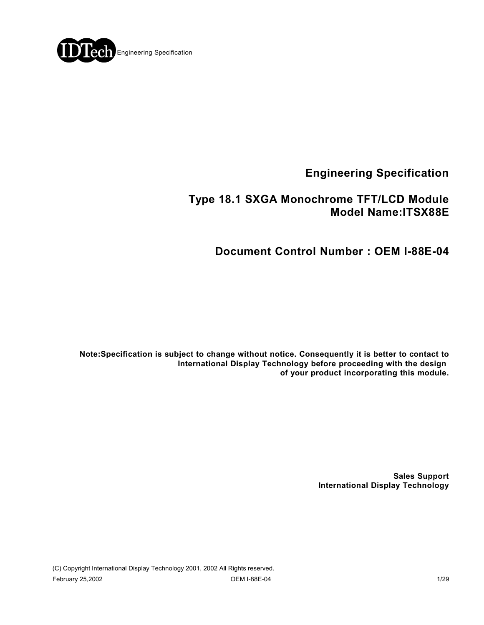

**Engineering Specification**

### **Type 18.1 SXGA Monochrome TFT/LCD Module Model Name:ITSX88E**

**Document Control Number : OEM I-88E-04**

**Note:Specification is subject to change without notice. Consequently it is better to contact to International Display Technology before proceeding with the design of your product incorporating this module.**

> **Sales Support International Display Technology**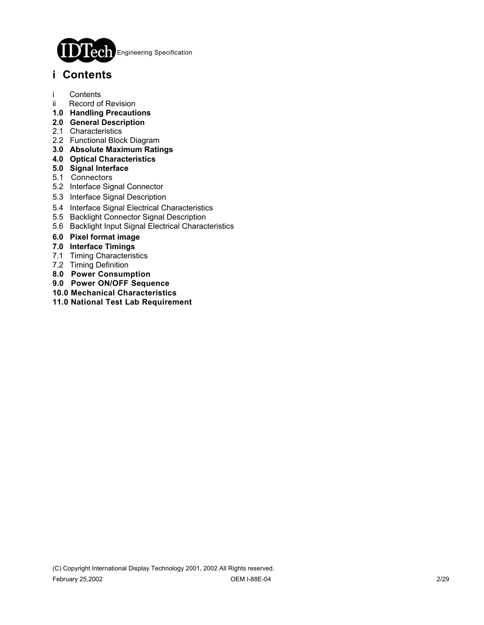

## **i Contents**

- i Contents
- ii Record of Revision
- **1.0 Handling Precautions**
- **2.0 General Description**
- 2.1 Characteristics
- 2.2 Functional Block Diagram
- **3.0 Absolute Maximum Ratings**
- **4.0 Optical Characteristics**
- **5.0 Signal Interface**
- 5.1 Connectors
- 5.2 Interface Signal Connector
- 5.3 Interface Signal Description
- 5.4 Interface Signal Electrical Characteristics
- 5.5 Backlight Connector Signal Description
- 5.6 Backlight Input Signal Electrical Characteristics
- **6.0 Pixel format image**
- **7.0 Interface Timings**
- 7.1 Timing Characteristics
- 7.2 Timing Definition
- **8.0 Power Consumption**
- **9.0 Power ON/OFF Sequence**
- **10.0 Mechanical Characteristics**
- **11.0 National Test Lab Requirement**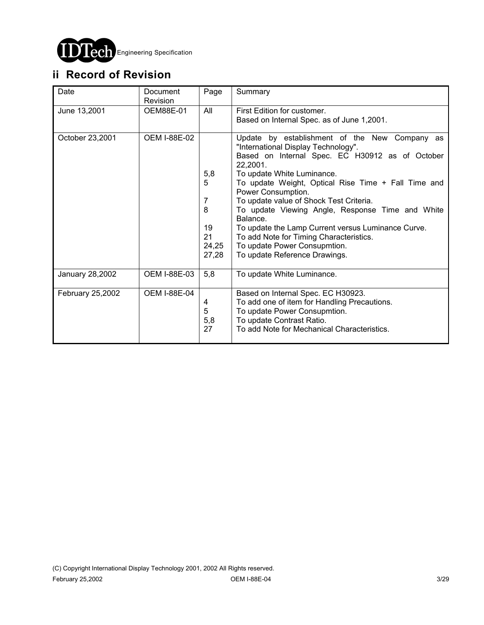

# **ii Record of Revision**

| Date             | Document<br>Revision | Page                                             | Summary                                                                                                                                                                                                                                                                                                                                                                                                                                                                                                                                     |
|------------------|----------------------|--------------------------------------------------|---------------------------------------------------------------------------------------------------------------------------------------------------------------------------------------------------------------------------------------------------------------------------------------------------------------------------------------------------------------------------------------------------------------------------------------------------------------------------------------------------------------------------------------------|
| June 13,2001     | OEM88E-01            | All                                              | First Edition for customer.<br>Based on Internal Spec. as of June 1,2001.                                                                                                                                                                                                                                                                                                                                                                                                                                                                   |
| October 23,2001  | <b>OEM I-88E-02</b>  | 5,8<br>5<br>7<br>8<br>19<br>21<br>24,25<br>27,28 | Update by establishment of the New Company as<br>"International Display Technology".<br>Based on Internal Spec. EC H30912 as of October<br>22,2001.<br>To update White Luminance.<br>To update Weight, Optical Rise Time + Fall Time and<br>Power Consumption.<br>To update value of Shock Test Criteria.<br>To update Viewing Angle, Response Time and White<br>Balance.<br>To update the Lamp Current versus Luminance Curve.<br>To add Note for Timing Characteristics.<br>To update Power Consupmtion.<br>To update Reference Drawings. |
| January 28,2002  | OEM I-88E-03         | 5,8                                              | To update White Luminance.                                                                                                                                                                                                                                                                                                                                                                                                                                                                                                                  |
| February 25,2002 | <b>OEM I-88E-04</b>  | 4<br>5<br>5,8<br>27                              | Based on Internal Spec. EC H30923.<br>To add one of item for Handling Precautions.<br>To update Power Consupmtion.<br>To update Contrast Ratio.<br>To add Note for Mechanical Characteristics.                                                                                                                                                                                                                                                                                                                                              |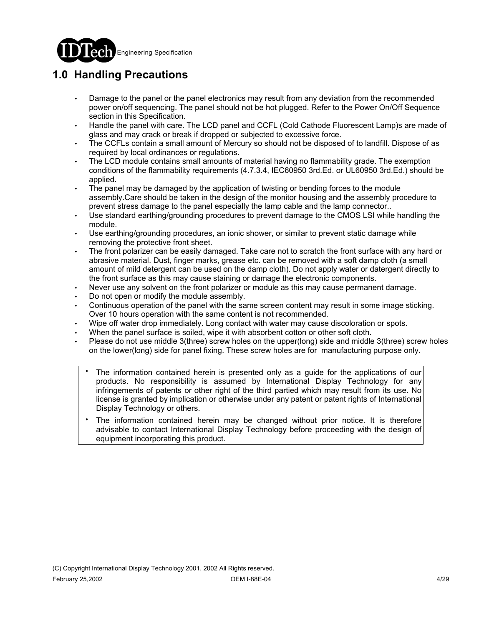

# **1.0 Handling Precautions**

- Damage to the panel or the panel electronics may result from any deviation from the recommended power on/off sequencing. The panel should not be hot plugged. Refer to the Power On/Off Sequence section in this Specification.
- Handle the panel with care. The LCD panel and CCFL (Cold Cathode Fluorescent Lamp)s are made of glass and may crack or break if dropped or subjected to excessive force.
- The CCFLs contain a small amount of Mercury so should not be disposed of to landfill. Dispose of as required by local ordinances or regulations.
- The LCD module contains small amounts of material having no flammability grade. The exemption conditions of the flammability requirements (4.7.3.4, IEC60950 3rd.Ed. or UL60950 3rd.Ed.) should be applied.
- The panel may be damaged by the application of twisting or bending forces to the module assembly.Care should be taken in the design of the monitor housing and the assembly procedure to prevent stress damage to the panel especially the lamp cable and the lamp connector..
- Use standard earthing/grounding procedures to prevent damage to the CMOS LSI while handling the module.
- Use earthing/grounding procedures, an ionic shower, or similar to prevent static damage while removing the protective front sheet.
- The front polarizer can be easily damaged. Take care not to scratch the front surface with any hard or abrasive material. Dust, finger marks, grease etc. can be removed with a soft damp cloth (a small amount of mild detergent can be used on the damp cloth). Do not apply water or datergent directly to the front surface as this may cause staining or damage the electronic components.
- Never use any solvent on the front polarizer or module as this may cause permanent damage.
- Do not open or modify the module assembly.
- Continuous operation of the panel with the same screen content may result in some image sticking. Over 10 hours operation with the same content is not recommended.
- Wipe off water drop immediately. Long contact with water may cause discoloration or spots.
- When the panel surface is soiled, wipe it with absorbent cotton or other soft cloth.
- Please do not use middle 3(three) screw holes on the upper(long) side and middle 3(three) screw holes on the lower(long) side for panel fixing. These screw holes are for manufacturing purpose only.
	- The information contained herein is presented only as a guide for the applications of our products. No responsibility is assumed by International Display Technology for any infringements of patents or other right of the third partied which may result from its use. No license is granted by implication or otherwise under any patent or patent rights of International Display Technology or others. .
	- The information contained herein may be changed without prior notice. It is therefore advisable to contact International Display Technology before proceeding with the design of equipment incorporating this product. .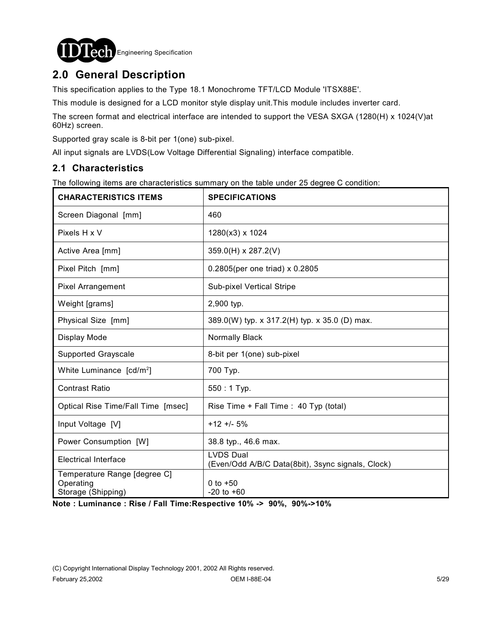

## **2.0 General Description**

This specification applies to the Type 18.1 Monochrome TFT/LCD Module 'ITSX88E'.

This module is designed for a LCD monitor style display unit.This module includes inverter card.

The screen format and electrical interface are intended to support the VESA SXGA (1280(H) x 1024(V)at 60Hz) screen.

Supported gray scale is 8-bit per 1(one) sub-pixel.

All input signals are LVDS(Low Voltage Differential Signaling) interface compatible.

### **2.1 Characteristics**

The following items are characteristics summary on the table under 25 degree C condition:

| <b>CHARACTERISTICS ITEMS</b>                                    | <b>SPECIFICATIONS</b>                                                 |
|-----------------------------------------------------------------|-----------------------------------------------------------------------|
| Screen Diagonal [mm]                                            | 460                                                                   |
| Pixels H x V                                                    | 1280(x3) x 1024                                                       |
| Active Area [mm]                                                | 359.0(H) x 287.2(V)                                                   |
| Pixel Pitch [mm]                                                | 0.2805(per one triad) x 0.2805                                        |
| <b>Pixel Arrangement</b>                                        | Sub-pixel Vertical Stripe                                             |
| Weight [grams]                                                  | 2,900 typ.                                                            |
| Physical Size [mm]                                              | 389.0(W) typ. x 317.2(H) typ. x 35.0 (D) max.                         |
| Display Mode                                                    | Normally Black                                                        |
| <b>Supported Grayscale</b>                                      | 8-bit per 1(one) sub-pixel                                            |
| White Luminance [cd/m <sup>2</sup> ]                            | 700 Typ.                                                              |
| <b>Contrast Ratio</b>                                           | 550: 1 Typ.                                                           |
| Optical Rise Time/Fall Time [msec]                              | Rise Time + Fall Time : 40 Typ (total)                                |
| Input Voltage [V]                                               | $+12 + 5%$                                                            |
| Power Consumption [W]                                           | 38.8 typ., 46.6 max.                                                  |
| <b>Electrical Interface</b>                                     | <b>LVDS Dual</b><br>(Even/Odd A/B/C Data(8bit), 3sync signals, Clock) |
| Temperature Range [degree C]<br>Operating<br>Storage (Shipping) | 0 to $+50$<br>$-20$ to $+60$                                          |

**Note : Luminance : Rise / Fall Time:Respective 10% -> 90%, 90%->10%**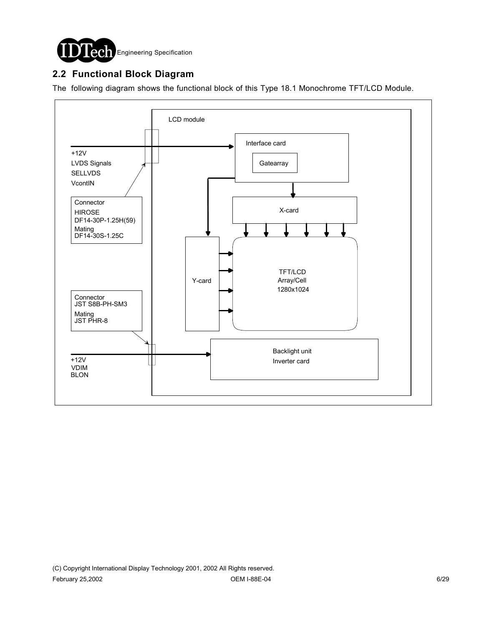

### **2.2 Functional Block Diagram**

The following diagram shows the functional block of this Type 18.1 Monochrome TFT/LCD Module.

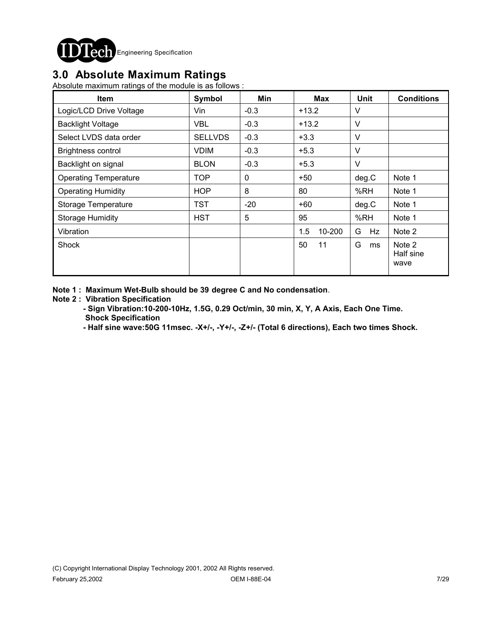

### **3.0 Absolute Maximum Ratings**

Absolute maximum ratings of the module is as follows :

| <b>Item</b>                  | Symbol         | Min    | <b>Max</b>    | <b>Unit</b> | <b>Conditions</b>           |
|------------------------------|----------------|--------|---------------|-------------|-----------------------------|
| Logic/LCD Drive Voltage      | Vin.           | $-0.3$ | $+13.2$       | V           |                             |
| <b>Backlight Voltage</b>     | <b>VBL</b>     | $-0.3$ | $+13.2$       | V           |                             |
| Select LVDS data order       | <b>SELLVDS</b> | $-0.3$ | $+3.3$        | V           |                             |
| <b>Brightness control</b>    | <b>VDIM</b>    | $-0.3$ | $+5.3$        | $\vee$      |                             |
| Backlight on signal          | <b>BLON</b>    | $-0.3$ | $+5.3$        | $\vee$      |                             |
| <b>Operating Temperature</b> | <b>TOP</b>     | 0      | $+50$         | deg.C       | Note 1                      |
| <b>Operating Humidity</b>    | <b>HOP</b>     | 8      | 80            | %RH         | Note 1                      |
| Storage Temperature          | TST            | $-20$  | +60           | deg.C       | Note 1                      |
| <b>Storage Humidity</b>      | <b>HST</b>     | 5      | 95            | %RH         | Note 1                      |
| Vibration                    |                |        | 1.5<br>10-200 | G<br>Hz     | Note 2                      |
| Shock                        |                |        | 50<br>11      | G<br>ms     | Note 2<br>Half sine<br>wave |

**Note 1 : Maximum Wet-Bulb should be 39 degree C and No condensation**.

#### **Note 2 : Vibration Specification**

 **- Sign Vibration:10-200-10Hz, 1.5G, 0.29 Oct/min, 30 min, X, Y, A Axis, Each One Time. Shock Specification**

 **- Half sine wave:50G 11msec. -X+/-, -Y+/-, -Z+/- (Total 6 directions), Each two times Shock.**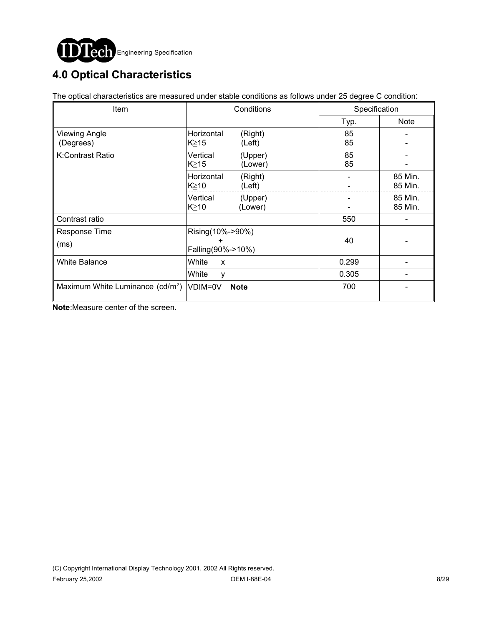

# **4.0 Optical Characteristics**

The optical characteristics are measured under stable conditions as follows under 25 degree C condition:

| Item                                         | Conditions                                 |                    | Specification |                    |
|----------------------------------------------|--------------------------------------------|--------------------|---------------|--------------------|
|                                              |                                            |                    | Typ.          | <b>Note</b>        |
| <b>Viewing Angle</b><br>(Degrees)            | Horizontal<br>K≧15                         | (Right)<br>(Left)  | 85<br>85      |                    |
| K:Contrast Ratio                             | Vertical<br>K≥15                           | (Upper)<br>(Lower) | 85<br>85      |                    |
|                                              | Horizontal<br>K≧10                         | (Right)<br>(Left)  |               | 85 Min.<br>85 Min. |
|                                              | Vertical<br>$K \geq 10$                    | (Upper)<br>(Lower) |               | 85 Min.<br>85 Min. |
| Contrast ratio                               |                                            |                    | 550           |                    |
| Response Time<br>(ms)                        | Rising(10%->90%)<br>÷<br>Falling(90%->10%) |                    | 40            |                    |
| <b>White Balance</b>                         | White<br>X                                 |                    | 0.299         |                    |
|                                              | White<br>v                                 |                    | 0.305         |                    |
| Maximum White Luminance (cd/m <sup>2</sup> ) | VDIM=0V                                    | <b>Note</b>        | 700           |                    |

**Note**:Measure center of the screen.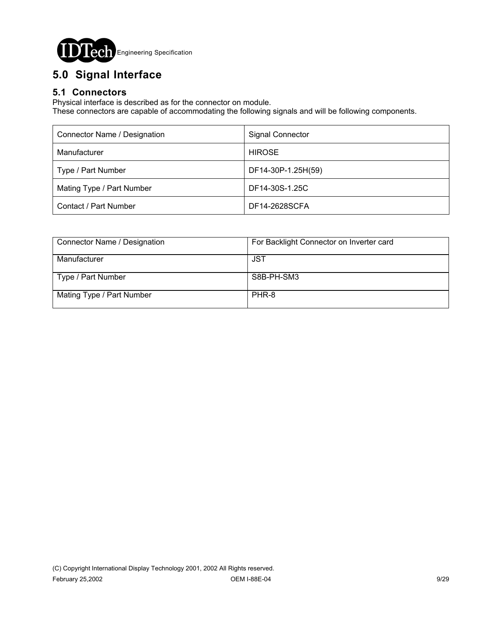

# **5.0 Signal Interface**

### **5.1 Connectors**

Physical interface is described as for the connector on module.

These connectors are capable of accommodating the following signals and will be following components.

| Connector Name / Designation | <b>Signal Connector</b> |
|------------------------------|-------------------------|
| Manufacturer                 | <b>HIROSE</b>           |
| Type / Part Number           | DF14-30P-1.25H(59)      |
| Mating Type / Part Number    | DF14-30S-1.25C          |
| Contact / Part Number        | DF14-2628SCFA           |

| Connector Name / Designation | For Backlight Connector on Inverter card |
|------------------------------|------------------------------------------|
| Manufacturer                 | JST                                      |
| Type / Part Number           | S8B-PH-SM3                               |
| Mating Type / Part Number    | PHR-8                                    |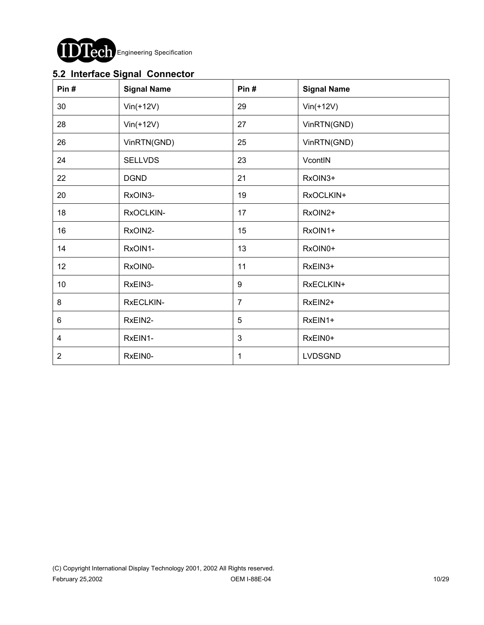

### **5.2 Interface Signal Connector**

| Pin#           | <b>Signal Name</b> | Pin#           | <b>Signal Name</b> |
|----------------|--------------------|----------------|--------------------|
| 30             | $Vin(+12V)$        | 29             | $Vin(+12V)$        |
| 28             | $Vin(+12V)$        | 27             | VinRTN(GND)        |
| 26             | VinRTN(GND)        | 25             | VinRTN(GND)        |
| 24             | <b>SELLVDS</b>     | 23             | VcontIN            |
| 22             | <b>DGND</b>        | 21             | RxOIN3+            |
| 20             | RxOIN3-            | 19             | RxOCLKIN+          |
| 18             | RxOCLKIN-          | 17             | RxOIN2+            |
| 16             | RxOIN2-            | 15             | RxOIN1+            |
| 14             | RxOIN1-            | 13             | RxOIN0+            |
| 12             | RxOIN0-            | 11             | RxEIN3+            |
| 10             | RxEIN3-            | 9              | RxECLKIN+          |
| 8              | RxECLKIN-          | $\overline{7}$ | RxEIN2+            |
| 6              | RxEIN2-            | 5              | RxEIN1+            |
| 4              | RxEIN1-            | $\mathbf{3}$   | RxEIN0+            |
| $\overline{2}$ | RxEIN0-            | 1              | <b>LVDSGND</b>     |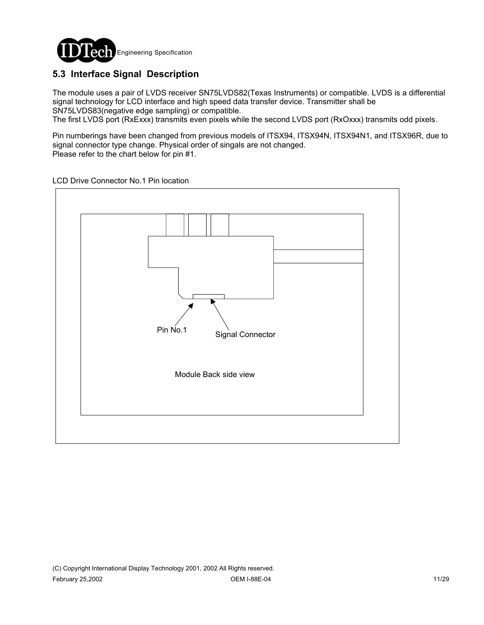

### **5.3 Interface Signal Description**

The module uses a pair of LVDS receiver SN75LVDS82(Texas Instruments) or compatible. LVDS is a differential signal technology for LCD interface and high speed data transfer device. Transmitter shall be SN75LVDS83(negative edge sampling) or compatible.

The first LVDS port (RxExxx) transmits even pixels while the second LVDS port (RxOxxx) transmits odd pixels.

Pin numberings have been changed from previous models of ITSX94, ITSX94N, ITSX94N1, and ITSX96R, due to signal connector type change. Physical order of singals are not changed. Please refer to the chart below for pin #1.

LCD Drive Connector No.1 Pin location

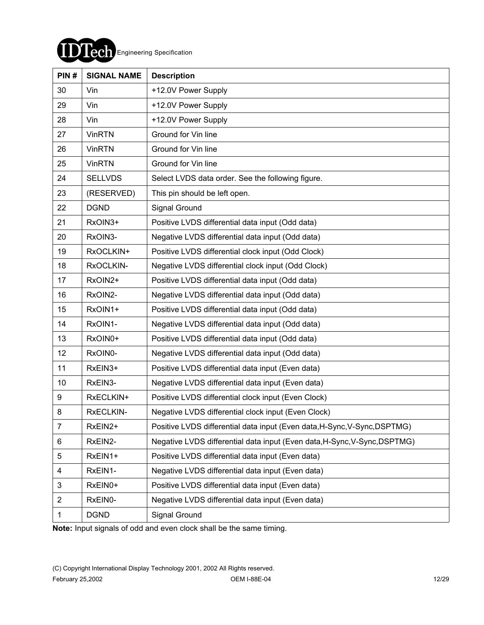

| PIN#           | <b>SIGNAL NAME</b> | <b>Description</b>                                                        |
|----------------|--------------------|---------------------------------------------------------------------------|
| 30             | Vin                | +12.0V Power Supply                                                       |
| 29             | Vin                | +12.0V Power Supply                                                       |
| 28             | Vin                | +12.0V Power Supply                                                       |
| 27             | <b>VinRTN</b>      | Ground for Vin line                                                       |
| 26             | <b>VinRTN</b>      | Ground for Vin line                                                       |
| 25             | <b>VinRTN</b>      | Ground for Vin line                                                       |
| 24             | <b>SELLVDS</b>     | Select LVDS data order. See the following figure.                         |
| 23             | (RESERVED)         | This pin should be left open.                                             |
| 22             | <b>DGND</b>        | Signal Ground                                                             |
| 21             | RxOIN3+            | Positive LVDS differential data input (Odd data)                          |
| 20             | RxOIN3-            | Negative LVDS differential data input (Odd data)                          |
| 19             | RxOCLKIN+          | Positive LVDS differential clock input (Odd Clock)                        |
| 18             | RxOCLKIN-          | Negative LVDS differential clock input (Odd Clock)                        |
| 17             | RxOIN2+            | Positive LVDS differential data input (Odd data)                          |
| 16             | RxOIN2-            | Negative LVDS differential data input (Odd data)                          |
| 15             | RxOIN1+            | Positive LVDS differential data input (Odd data)                          |
| 14             | RxOIN1-            | Negative LVDS differential data input (Odd data)                          |
| 13             | RxOIN0+            | Positive LVDS differential data input (Odd data)                          |
| 12             | RxOIN0-            | Negative LVDS differential data input (Odd data)                          |
| 11             | RxEIN3+            | Positive LVDS differential data input (Even data)                         |
| 10             | RxEIN3-            | Negative LVDS differential data input (Even data)                         |
| 9              | RxECLKIN+          | Positive LVDS differential clock input (Even Clock)                       |
| 8              | RxECLKIN-          | Negative LVDS differential clock input (Even Clock)                       |
| $\overline{7}$ | RxEIN2+            | Positive LVDS differential data input (Even data, H-Sync, V-Sync, DSPTMG) |
| 6              | RxEIN2-            | Negative LVDS differential data input (Even data, H-Sync, V-Sync, DSPTMG) |
| 5              | RxEIN1+            | Positive LVDS differential data input (Even data)                         |
| 4              | RxEIN1-            | Negative LVDS differential data input (Even data)                         |
| 3              | RxEIN0+            | Positive LVDS differential data input (Even data)                         |
| $\overline{2}$ | RxEIN0-            | Negative LVDS differential data input (Even data)                         |
| 1              | <b>DGND</b>        | Signal Ground                                                             |

**Note:** Input signals of odd and even clock shall be the same timing.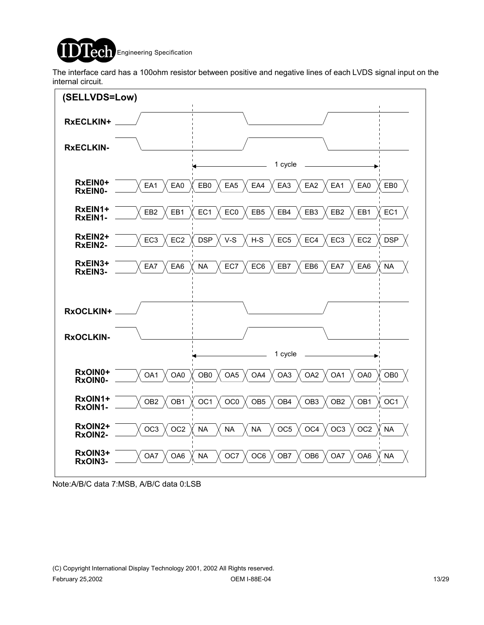

The interface card has a 100ohm resistor between positive and negative lines of each LVDS signal input on the internal circuit.



Note:A/B/C data 7:MSB, A/B/C data 0:LSB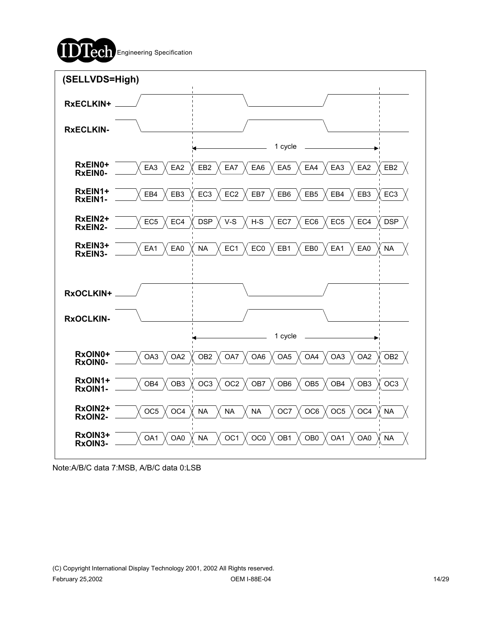



Note:A/B/C data 7:MSB, A/B/C data 0:LSB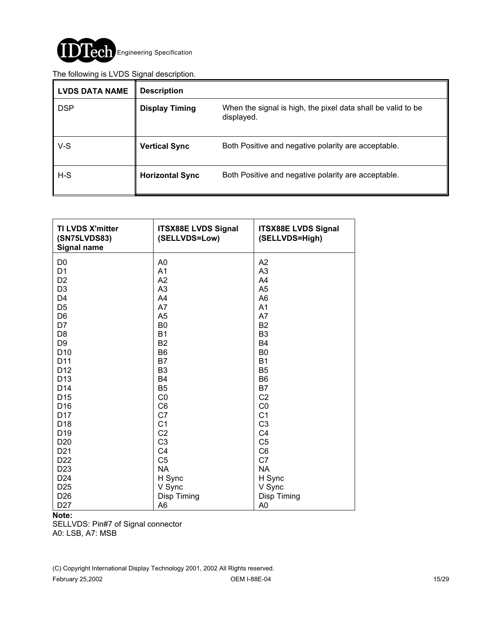

#### The following is LVDS Signal description.

| <b>LVDS DATA NAME</b> | <b>Description</b>     |                                                                            |
|-----------------------|------------------------|----------------------------------------------------------------------------|
| <b>DSP</b>            | <b>Display Timing</b>  | When the signal is high, the pixel data shall be valid to be<br>displayed. |
| $V-S$                 | <b>Vertical Sync</b>   | Both Positive and negative polarity are acceptable.                        |
| $H-S$                 | <b>Horizontal Sync</b> | Both Positive and negative polarity are acceptable.                        |

| <b>TI LVDS X'mitter</b><br>(SN75LVDS83)<br><b>Signal name</b> | <b>ITSX88E LVDS Signal</b><br>(SELLVDS=Low) | <b>ITSX88E LVDS Signal</b><br>(SELLVDS=High) |
|---------------------------------------------------------------|---------------------------------------------|----------------------------------------------|
| D <sub>0</sub>                                                | A0                                          | A2                                           |
| D <sub>1</sub>                                                | A <sub>1</sub>                              | A3                                           |
| D <sub>2</sub>                                                | A2                                          | A <sub>4</sub>                               |
| D <sub>3</sub>                                                | A3                                          | A <sub>5</sub>                               |
| D <sub>4</sub>                                                | A4                                          | A <sub>6</sub>                               |
| D <sub>5</sub>                                                | A7                                          | A <sub>1</sub>                               |
| D <sub>6</sub>                                                | A <sub>5</sub>                              | A7                                           |
| D7                                                            | B <sub>0</sub>                              | <b>B2</b>                                    |
| D <sub>8</sub>                                                | <b>B1</b>                                   | B <sub>3</sub>                               |
| D <sub>9</sub>                                                | B <sub>2</sub>                              | <b>B4</b>                                    |
| D <sub>10</sub>                                               | B <sub>6</sub>                              | B <sub>0</sub>                               |
| D11                                                           | B7                                          | <b>B1</b>                                    |
| D <sub>12</sub>                                               | B <sub>3</sub>                              | B <sub>5</sub>                               |
| D <sub>13</sub>                                               | <b>B4</b>                                   | B <sub>6</sub>                               |
| D <sub>14</sub>                                               | B <sub>5</sub>                              | B7                                           |
| D <sub>15</sub>                                               | CO                                          | C <sub>2</sub>                               |
| D <sub>16</sub>                                               | C <sub>6</sub>                              | CO                                           |
| D <sub>17</sub>                                               | C <sub>7</sub>                              | C <sub>1</sub>                               |
| D <sub>18</sub>                                               | C <sub>1</sub>                              | C <sub>3</sub>                               |
| D <sub>19</sub>                                               | C <sub>2</sub>                              | C <sub>4</sub>                               |
| D <sub>20</sub>                                               | C <sub>3</sub>                              | C <sub>5</sub>                               |
| D <sub>21</sub>                                               | C <sub>4</sub>                              | C <sub>6</sub>                               |
| D <sub>22</sub>                                               | C <sub>5</sub>                              | C7                                           |
| D <sub>23</sub>                                               | <b>NA</b>                                   | <b>NA</b>                                    |
| D <sub>24</sub>                                               | H Sync                                      | H Sync                                       |
| D <sub>25</sub>                                               | V Sync                                      | V Sync                                       |
| D <sub>26</sub>                                               | Disp Timing                                 | Disp Timing                                  |
| D <sub>27</sub>                                               | A <sub>6</sub>                              | A <sub>0</sub>                               |

#### **Note:**

SELLVDS: Pin#7 of Signal connector A0: LSB, A7: MSB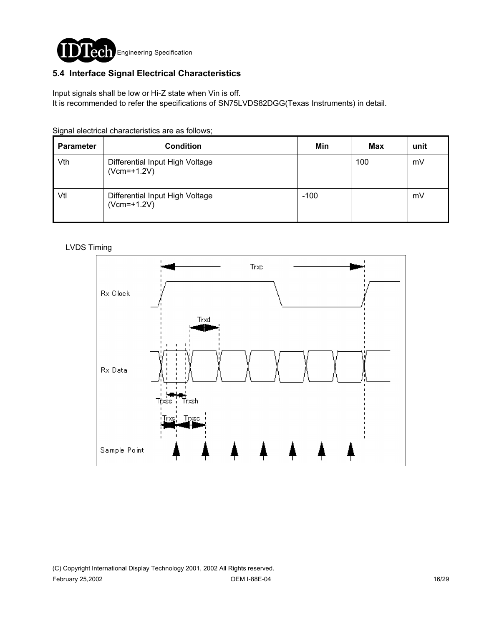

### **5.4 Interface Signal Electrical Characteristics**

Input signals shall be low or Hi-Z state when Vin is off.

It is recommended to refer the specifications of SN75LVDS82DGG(Texas Instruments) in detail.

Signal electrical characteristics are as follows;

| <b>Parameter</b> | <b>Condition</b>                                 | Min    | <b>Max</b> | unit |
|------------------|--------------------------------------------------|--------|------------|------|
| Vth              | Differential Input High Voltage<br>$(Vcm=+1.2V)$ |        | 100        | mV   |
| Vtl              | Differential Input High Voltage<br>$(Vcm=+1.2V)$ | $-100$ |            | mV   |

#### LVDS Timing

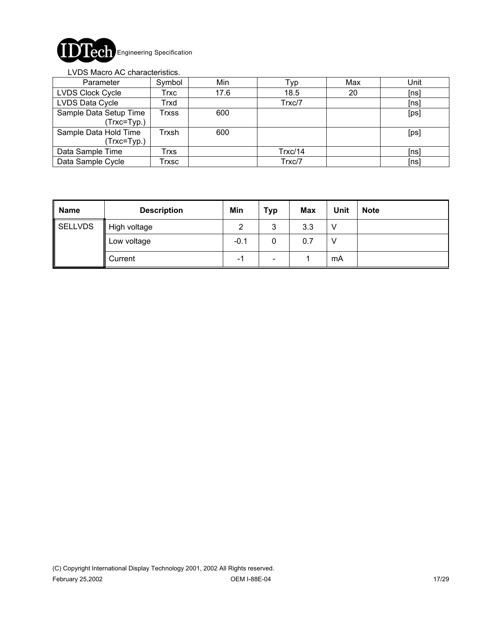

#### LVDS Macro AC characteristics.

| Parameter                             | Symbol                     | Min  | Typ     | Max | Unit |
|---------------------------------------|----------------------------|------|---------|-----|------|
| LVDS Clock Cycle                      | Trxc                       | 17.6 | 18.5    | 20  | [ns] |
| LVDS Data Cycle                       | Trxd                       |      | Trxc/7  |     | [ns] |
| Sample Data Setup Time<br>(Trxc=Typ.) | $\mathsf{r}_{\text{rxss}}$ | 600  |         |     | [ps] |
| Sample Data Hold Time<br>(Trxc=Typ.)  | Trxsh                      | 600  |         |     | [ps] |
| Data Sample Time                      | Trxs                       |      | Trxc/14 |     | [ns] |
| Data Sample Cycle                     | Trxsc                      |      | Trxc/7  |     | [ns] |

| <b>Name</b> | <b>Description</b> | Min    | <b>Typ</b>               | <b>Max</b> | Unit | <b>Note</b> |
|-------------|--------------------|--------|--------------------------|------------|------|-------------|
| SELLVDS     | High voltage       | っ      | 3                        | 3.3        |      |             |
|             | Low voltage        | $-0.1$ | 0                        | 0.7        |      |             |
|             | Current            | - 1    | $\overline{\phantom{a}}$ |            | mA   |             |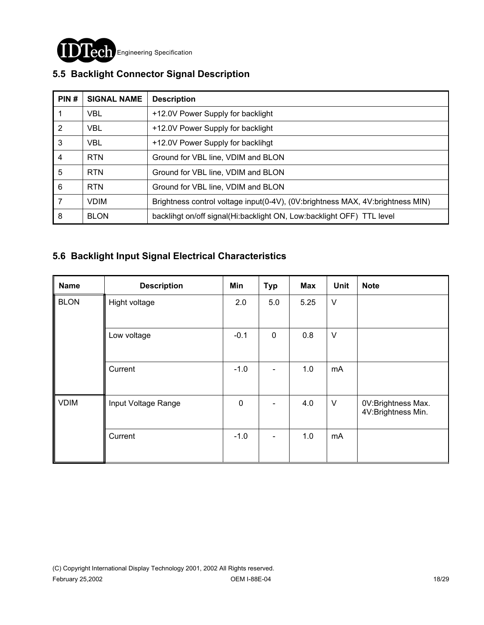

| PIN#           | <b>SIGNAL NAME</b> | <b>Description</b>                                                             |
|----------------|--------------------|--------------------------------------------------------------------------------|
|                | <b>VBL</b>         | +12.0V Power Supply for backlight                                              |
| $\overline{2}$ | <b>VBL</b>         | +12.0V Power Supply for backlight                                              |
| 3              | <b>VBL</b>         | +12.0V Power Supply for backlihgt                                              |
| $\overline{4}$ | <b>RTN</b>         | Ground for VBL line, VDIM and BLON                                             |
| 5              | <b>RTN</b>         | Ground for VBL line, VDIM and BLON                                             |
| 6              | <b>RTN</b>         | Ground for VBL line, VDIM and BLON                                             |
| 7              | <b>VDIM</b>        | Brightness control voltage input(0-4V), (0V:brightness MAX, 4V:brightness MIN) |
| 8              | <b>BLON</b>        | backlingt on/off signal(Hi:backlight ON, Low:backlight OFF) TTL level          |

## **5.5 Backlight Connector Signal Description**

### **5.6 Backlight Input Signal Electrical Characteristics**

| <b>Name</b> | <b>Description</b>  | Min         | <b>Typ</b>  | Max  | Unit   | <b>Note</b>                              |
|-------------|---------------------|-------------|-------------|------|--------|------------------------------------------|
| <b>BLON</b> | Hight voltage       | 2.0         | 5.0         | 5.25 | $\vee$ |                                          |
|             | Low voltage         | $-0.1$      | $\mathbf 0$ | 0.8  | $\vee$ |                                          |
|             | Current             | $-1.0$      |             | 1.0  | mA     |                                          |
| <b>VDIM</b> | Input Voltage Range | $\mathbf 0$ |             | 4.0  | $\vee$ | 0V:Brightness Max.<br>4V:Brightness Min. |
|             | Current             | $-1.0$      |             | 1.0  | mA     |                                          |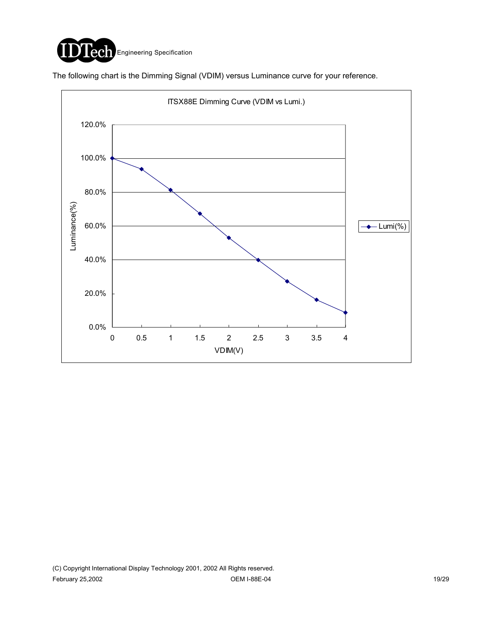

The following chart is the Dimming Signal (VDIM) versus Luminance curve for your reference.

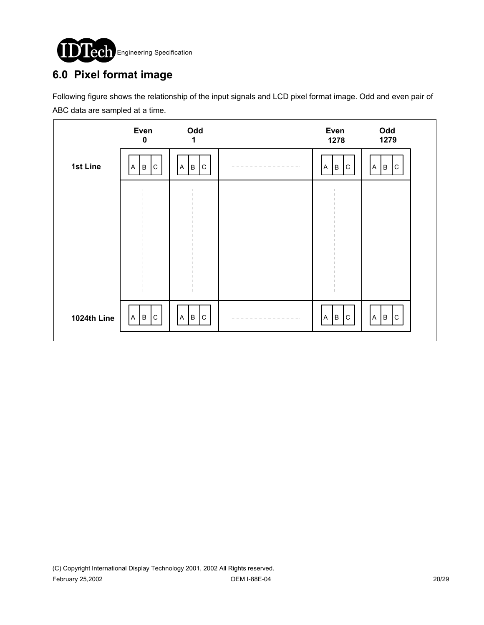

## **6.0 Pixel format image**

Following figure shows the relationship of the input signals and LCD pixel format image. Odd and even pair of ABC data are sampled at a time.

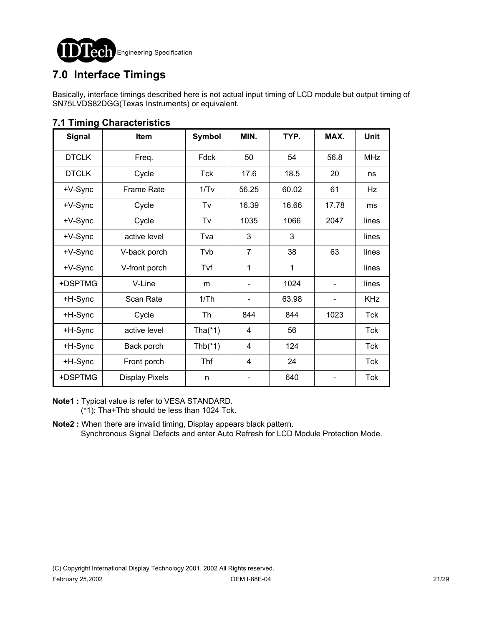

## **7.0 Interface Timings**

Basically, interface timings described here is not actual input timing of LCD module but output timing of SN75LVDS82DGG(Texas Instruments) or equivalent.

| Signal       | Item                  | <b>Symbol</b> | MIN.           | TYP.  | MAX.                     | <b>Unit</b> |
|--------------|-----------------------|---------------|----------------|-------|--------------------------|-------------|
| <b>DTCLK</b> | Freq.                 | Fdck          | 50             | 54    | 56.8                     | <b>MHz</b>  |
| <b>DTCLK</b> | Cycle                 | Tck           | 17.6           | 18.5  | 20                       | ns          |
| +V-Sync      | <b>Frame Rate</b>     | 1/Tv          | 56.25          | 60.02 | 61                       | Hz          |
| +V-Sync      | Cycle                 | Tv            | 16.39          | 16.66 | 17.78                    | ms          |
| +V-Sync      | Cycle                 | Tv            | 1035           | 1066  | 2047                     | lines       |
| +V-Sync      | active level          | Tva           | 3              | 3     |                          | lines       |
| +V-Sync      | V-back porch          | Tvb           | $\overline{7}$ | 38    | 63                       | lines       |
| +V-Sync      | V-front porch         | Tvf           | 1              | 1     |                          | lines       |
| +DSPTMG      | V-Line                | m             |                | 1024  |                          | lines       |
| +H-Sync      | Scan Rate             | 1/Th          |                | 63.98 | $\overline{\phantom{a}}$ | <b>KHz</b>  |
| +H-Sync      | Cycle                 | Th            | 844            | 844   | 1023                     | <b>Tck</b>  |
| +H-Sync      | active level          | Tha $(*1)$    | 4              | 56    |                          | Tck         |
| +H-Sync      | Back porch            | Thb $(*1)$    | 4              | 124   |                          | <b>Tck</b>  |
| +H-Sync      | Front porch           | Thf           | 4              | 24    |                          | Tck         |
| +DSPTMG      | <b>Display Pixels</b> | n             |                | 640   |                          | <b>Tck</b>  |

### **7.1 Timing Characteristics**

**Note1 :** Typical value is refer to VESA STANDARD. (\*1): Tha+Thb should be less than 1024 Tck.

**Note2 :** When there are invalid timing, Display appears black pattern. Synchronous Signal Defects and enter Auto Refresh for LCD Module Protection Mode.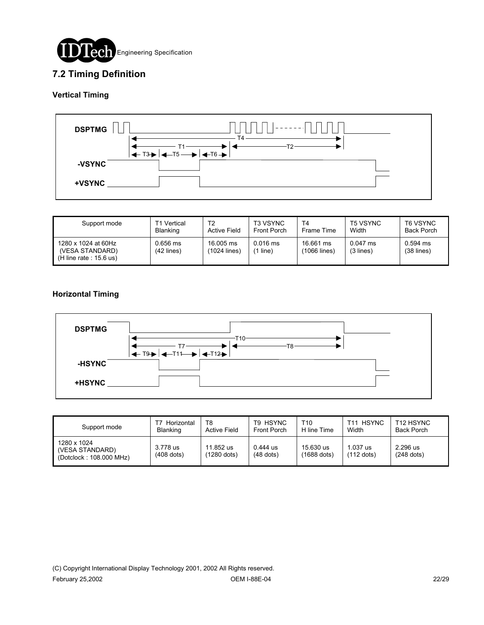

### **7.2 Timing Definition**

#### **Vertical Timing**



| Support mode                                                        | T1 Vertical              | T2                        | <b>T3 VSYNC</b>     | T <sub>4</sub>            | <b>T5 VSYNC</b>         | T6 VSYNC                   |
|---------------------------------------------------------------------|--------------------------|---------------------------|---------------------|---------------------------|-------------------------|----------------------------|
|                                                                     | <b>Blanking</b>          | <b>Active Field</b>       | <b>Front Porch</b>  | Frame Time                | Width                   | <b>Back Porch</b>          |
| 1280 x 1024 at 60Hz<br>(VESA STANDARD)<br>$(H$ line rate : 15.6 us) | 0.656 ms<br>$(42$ lines) | 16,005 ms<br>(1024 lines) | $0.016$ ms<br>line) | 16.661 ms<br>(1066 lines) | $0.047$ ms<br>(3 lines) | $0.594$ ms<br>$(38$ lines) |

#### **Horizontal Timing**



| Support mode                                              | Horizontal<br><b>Blanking</b> | T8<br><b>Active Field</b> | T9 HSYNC<br>Front Porch   | T10<br>H line Time         | <b>HSYNC</b><br>T11<br>Width | T <sub>12</sub> HSYNC<br><b>Back Porch</b> |
|-----------------------------------------------------------|-------------------------------|---------------------------|---------------------------|----------------------------|------------------------------|--------------------------------------------|
| 1280 x 1024<br>(VESA STANDARD)<br>(Dotclock: 108.000 MHz) | 3.778 us<br>$(408$ dots)      | 11.852 us<br>(1280 dots)  | $0.444$ us<br>$(48$ dots) | 15.630 us<br>$(1688$ dots) | .037 us<br>$(112$ dots)      | 2.296 us<br>$(248$ dots)                   |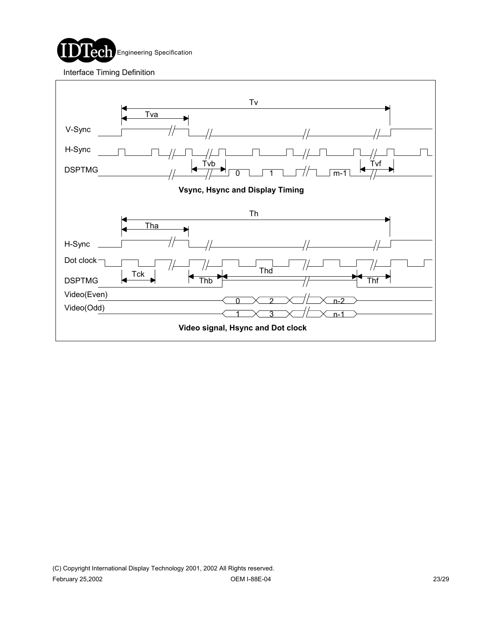

Interface Timing Definition

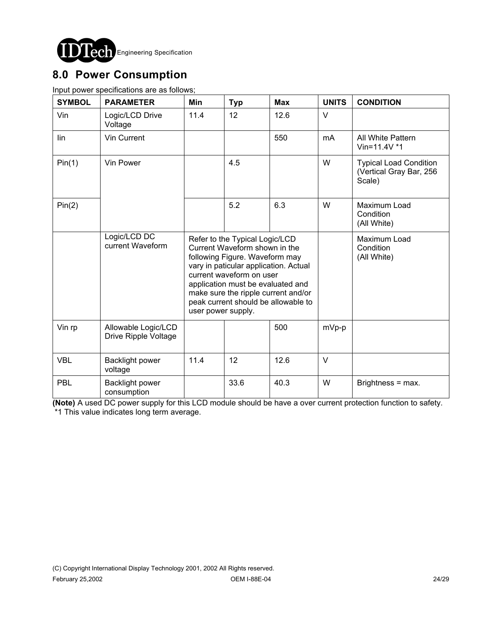

## **8.0 Power Consumption**

Input power specifications are as follows;

| <b>SYMBOL</b> | <b>PARAMETER</b>                            | Min                                                                                                                                                                                                                                                                                                             | <b>Typ</b> | <b>Max</b> | <b>UNITS</b> | <b>CONDITION</b>                                                   |
|---------------|---------------------------------------------|-----------------------------------------------------------------------------------------------------------------------------------------------------------------------------------------------------------------------------------------------------------------------------------------------------------------|------------|------------|--------------|--------------------------------------------------------------------|
| Vin           | Logic/LCD Drive<br>Voltage                  | 11.4                                                                                                                                                                                                                                                                                                            | 12         | 12.6       | $\vee$       |                                                                    |
| lin           | Vin Current                                 |                                                                                                                                                                                                                                                                                                                 |            | 550        | mA           | All White Pattern<br>Vin=11.4V $*1$                                |
| Pin(1)        | Vin Power                                   |                                                                                                                                                                                                                                                                                                                 | 4.5        |            | W            | <b>Typical Load Condition</b><br>(Vertical Gray Bar, 256<br>Scale) |
| Pin(2)        |                                             |                                                                                                                                                                                                                                                                                                                 | 5.2        | 6.3        | W            | Maximum Load<br>Condition<br>(All White)                           |
|               | Logic/LCD DC<br>current Waveform            | Refer to the Typical Logic/LCD<br>Current Waveform shown in the<br>following Figure. Waveform may<br>vary in paticular application. Actual<br>current waveform on user<br>application must be evaluated and<br>make sure the ripple current and/or<br>peak current should be allowable to<br>user power supply. |            |            |              | Maximum Load<br>Condition<br>(All White)                           |
| Vin rp        | Allowable Logic/LCD<br>Drive Ripple Voltage |                                                                                                                                                                                                                                                                                                                 |            | 500        | mVp-p        |                                                                    |
| <b>VBL</b>    | Backlight power<br>voltage                  | 11.4                                                                                                                                                                                                                                                                                                            | 12         | 12.6       | $\vee$       |                                                                    |
| <b>PBL</b>    | Backlight power<br>consumption              |                                                                                                                                                                                                                                                                                                                 | 33.6       | 40.3       | W            | Brightness = max.                                                  |

**(Note)** A used DC power supply for this LCD module should be have a over current protection function to safety. \*1 This value indicates long term average.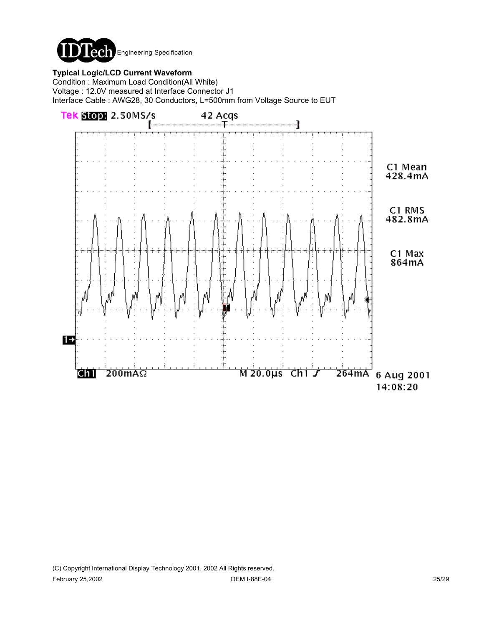

#### **Typical Logic/LCD Current Waveform**

Condition : Maximum Load Condition(All White) Voltage : 12.0V measured at Interface Connector J1 Interface Cable : AWG28, 30 Conductors, L=500mm from Voltage Source to EUT

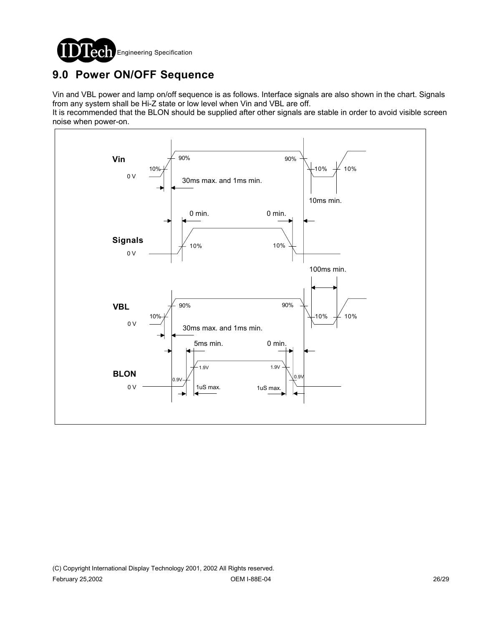

## **9.0 Power ON/OFF Sequence**

Vin and VBL power and lamp on/off sequence is as follows. Interface signals are also shown in the chart. Signals from any system shall be Hi-Z state or low level when Vin and VBL are off.

It is recommended that the BLON should be supplied after other signals are stable in order to avoid visible screen noise when power-on.

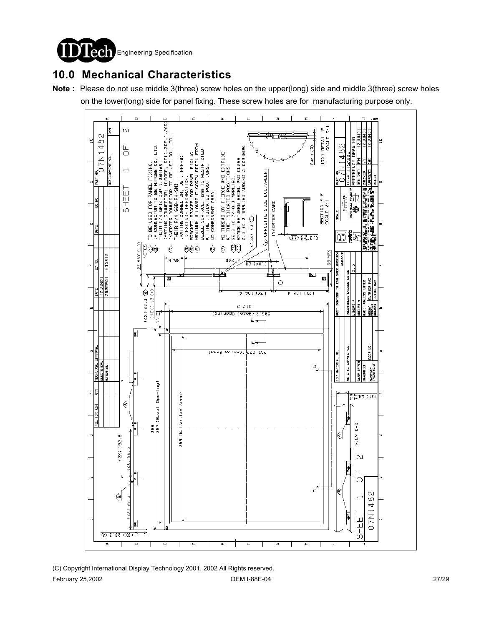**Engineering Specification** 

## **10.0 Mechanical Characteristics**

**Note :** Please do not use middle 3(three) screw holes on the upper(long) side and middle 3(three) screw holes

on the lower(long) side for panel fixing. These screw holes are for manufacturing purpose only.

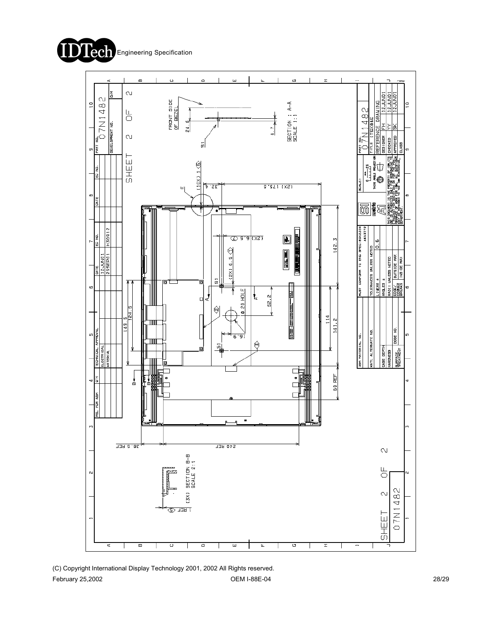